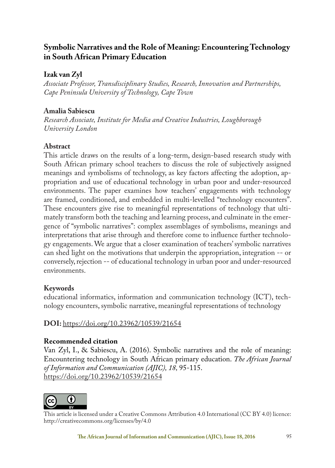# **Symbolic Narratives and the Role of Meaning: Encountering Technology in South African Primary Education**

## **Izak van Zyl**

*Associate Professor, Transdisciplinary Studies, Research, Innovation and Partnerships, Cape Peninsula University of Technology, Cape Town*

## **Amalia Sabiescu**

*Research Associate, Institute for Media and Creative Industries, Loughborough University London*

## **Abstract**

This article draws on the results of a long-term, design-based research study with South African primary school teachers to discuss the role of subjectively assigned meanings and symbolisms of technology, as key factors affecting the adoption, appropriation and use of educational technology in urban poor and under-resourced environments. The paper examines how teachers' engagements with technology are framed, conditioned, and embedded in multi-levelled "technology encounters". These encounters give rise to meaningful representations of technology that ultimately transform both the teaching and learning process, and culminate in the emergence of "symbolic narratives": complex assemblages of symbolisms, meanings and interpretations that arise through and therefore come to influence further technology engagements. We argue that a closer examination of teachers' symbolic narratives can shed light on the motivations that underpin the appropriation, integration -- or conversely, rejection -- of educational technology in urban poor and under-resourced environments.

## **Keywords**

educational informatics, information and communication technology (ICT), technology encounters, symbolic narrative, meaningful representations of technology

# **DOI:** https://doi.org/10.23962/10539/21654

## **Recommended citation**

Van Zyl, I., & Sabiescu, A. (2016). Symbolic narratives and the role of meaning: Encountering technology in South African primary education. *The African Journal of Information and Communication (AJIC), 18,* 95-115. https://doi.org/10.23962/10539/21654



This article is licensed under a Creative Commons Attribution 4.0 International (CC BY 4.0) licence: http://creativecommons.org/licenses/by/4.0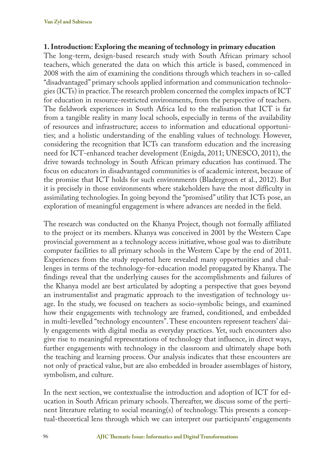### **1. Introduction: Exploring the meaning of technology in primary education**

The long-term, design-based research study with South African primary school teachers, which generated the data on which this article is based, commenced in 2008 with the aim of examining the conditions through which teachers in so-called "disadvantaged" primary schools applied information and communication technologies (ICTs) in practice. The research problem concerned the complex impacts of ICT for education in resource-restricted environments, from the perspective of teachers. The fieldwork experiences in South Africa led to the realisation that ICT is far from a tangible reality in many local schools, especially in terms of the availability of resources and infrastructure; access to information and educational opportunities; and a holistic understanding of the enabling values of technology. However, considering the recognition that ICTs can transform education and the increasing need for ICT-enhanced teacher development (Enigda, 2011; UNESCO, 2011), the drive towards technology in South African primary education has continued. The focus on educators in disadvantaged communities is of academic interest, because of the promise that ICT holds for such environments (Bladergroen et al., 2012). But it is precisely in those environments where stakeholders have the most difficulty in assimilating technologies. In going beyond the "promised" utility that ICTs pose, an exploration of meaningful engagement is where advances are needed in the field.

The research was conducted on the Khanya Project, though not formally affiliated to the project or its members. Khanya was conceived in 2001 by the Western Cape provincial government as a technology access initiative, whose goal was to distribute computer facilities to all primary schools in the Western Cape by the end of 2011. Experiences from the study reported here revealed many opportunities and challenges in terms of the technology-for-education model propagated by Khanya. The findings reveal that the underlying causes for the accomplishments and failures of the Khanya model are best articulated by adopting a perspective that goes beyond an instrumentalist and pragmatic approach to the investigation of technology usage. In the study, we focused on teachers as socio-symbolic beings, and examined how their engagements with technology are framed, conditioned, and embedded in multi-levelled "technology encounters". These encounters represent teachers' daily engagements with digital media as everyday practices. Yet, such encounters also give rise to meaningful representations of technology that influence, in direct ways, further engagements with technology in the classroom and ultimately shape both the teaching and learning process. Our analysis indicates that these encounters are not only of practical value, but are also embedded in broader assemblages of history, symbolism, and culture.

In the next section, we contextualise the introduction and adoption of ICT for education in South African primary schools. Thereafter, we discuss some of the pertinent literature relating to social meaning(s) of technology. This presents a conceptual-theoretical lens through which we can interpret our participants' engagements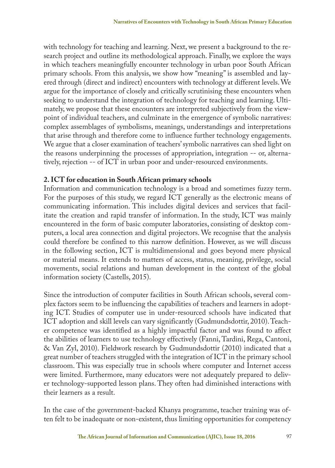with technology for teaching and learning. Next, we present a background to the research project and outline its methodological approach. Finally, we explore the ways in which teachers meaningfully encounter technology in urban poor South African primary schools. From this analysis, we show how "meaning" is assembled and layered through (direct and indirect) encounters with technology at different levels. We argue for the importance of closely and critically scrutinising these encounters when seeking to understand the integration of technology for teaching and learning. Ultimately, we propose that these encounters are interpreted subjectively from the viewpoint of individual teachers, and culminate in the emergence of symbolic narratives: complex assemblages of symbolisms, meanings, understandings and interpretations that arise through and therefore come to influence further technology engagements. We argue that a closer examination of teachers' symbolic narratives can shed light on the reasons underpinning the processes of appropriation, integration -- or, alternatively, rejection -- of ICT in urban poor and under-resourced environments.

### **2. ICT for education in South African primary schools**

Information and communication technology is a broad and sometimes fuzzy term. For the purposes of this study, we regard ICT generally as the electronic means of communicating information. This includes digital devices and services that facilitate the creation and rapid transfer of information. In the study, ICT was mainly encountered in the form of basic computer laboratories, consisting of desktop computers, a local area connection and digital projectors. We recognise that the analysis could therefore be confined to this narrow definition. However, as we will discuss in the following section, ICT is multidimensional and goes beyond mere physical or material means. It extends to matters of access, status, meaning, privilege, social movements, social relations and human development in the context of the global information society (Castells, 2015).

Since the introduction of computer facilities in South African schools, several complex factors seem to be influencing the capabilities of teachers and learners in adopting ICT. Studies of computer use in under-resourced schools have indicated that ICT adoption and skill levels can vary significantly (Gudmundsdottir, 2010). Teacher competence was identified as a highly impactful factor and was found to affect the abilities of learners to use technology effectively (Fanni, Tardini, Rega, Cantoni, & Van Zyl, 2010). Fieldwork research by Gudmundsdottir (2010) indicated that a great number of teachers struggled with the integration of ICT in the primary school classroom. This was especially true in schools where computer and Internet access were limited. Furthermore, many educators were not adequately prepared to deliver technology-supported lesson plans. They often had diminished interactions with their learners as a result.

In the case of the government-backed Khanya programme, teacher training was often felt to be inadequate or non-existent, thus limiting opportunities for competency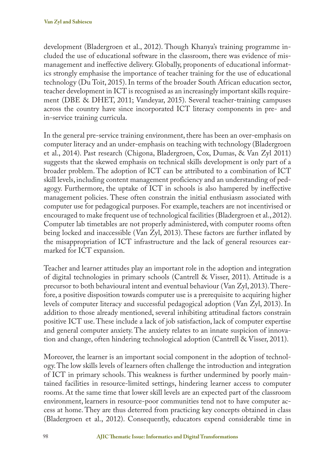development (Bladergroen et al., 2012). Though Khanya's training programme included the use of educational software in the classroom, there was evidence of mismanagement and ineffective delivery. Globally, proponents of educational informatics strongly emphasise the importance of teacher training for the use of educational technology (Du Toit, 2015). In terms of the broader South African education sector, teacher development in ICT is recognised as an increasingly important skills requirement (DBE & DHET, 2011; Vandeyar, 2015). Several teacher-training campuses across the country have since incorporated ICT literacy components in pre- and in-service training curricula.

In the general pre-service training environment, there has been an over-emphasis on computer literacy and an under-emphasis on teaching with technology (Bladergroen et al., 2014). Past research (Chigona, Bladergroen, Cox, Dumas, & Van Zyl 2011) suggests that the skewed emphasis on technical skills development is only part of a broader problem. The adoption of ICT can be attributed to a combination of ICT skill levels, including content management proficiency and an understanding of pedagogy. Furthermore, the uptake of ICT in schools is also hampered by ineffective management policies. These often constrain the initial enthusiasm associated with computer use for pedagogical purposes. For example, teachers are not incentivised or encouraged to make frequent use of technological facilities (Bladergroen et al., 2012). Computer lab timetables are not properly administered, with computer rooms often being locked and inaccessible (Van Zyl, 2013). These factors are further inflated by the misappropriation of ICT infrastructure and the lack of general resources earmarked for ICT expansion.

Teacher and learner attitudes play an important role in the adoption and integration of digital technologies in primary schools (Cantrell & Visser, 2011). Attitude is a precursor to both behavioural intent and eventual behaviour (Van Zyl, 2013). Therefore, a positive disposition towards computer use is a prerequisite to acquiring higher levels of computer literacy and successful pedagogical adoption (Van Zyl, 2013). In addition to those already mentioned, several inhibiting attitudinal factors constrain positive ICT use. These include a lack of job satisfaction, lack of computer expertise and general computer anxiety. The anxiety relates to an innate suspicion of innovation and change, often hindering technological adoption (Cantrell & Visser, 2011).

Moreover, the learner is an important social component in the adoption of technology. The low skills levels of learners often challenge the introduction and integration of ICT in primary schools. This weakness is further undermined by poorly maintained facilities in resource-limited settings, hindering learner access to computer rooms. At the same time that lower skill levels are an expected part of the classroom environment, learners in resource-poor communities tend not to have computer access at home. They are thus deterred from practicing key concepts obtained in class (Bladergroen et al., 2012). Consequently, educators expend considerable time in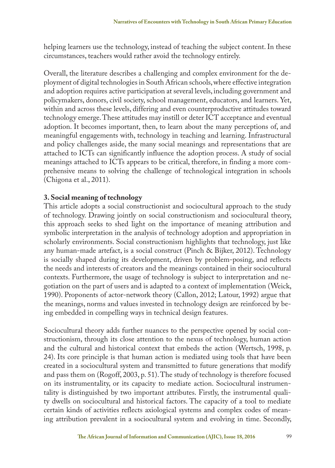helping learners use the technology, instead of teaching the subject content. In these circumstances, teachers would rather avoid the technology entirely.

Overall, the literature describes a challenging and complex environment for the deployment of digital technologies in South African schools, where effective integration and adoption requires active participation at several levels, including government and policymakers, donors, civil society, school management, educators, and learners. Yet, within and across these levels, differing and even counterproductive attitudes toward technology emerge. These attitudes may instill or deter ICT acceptance and eventual adoption. It becomes important, then, to learn about the many perceptions of, and meaningful engagements with, technology in teaching and learning. Infrastructural and policy challenges aside, the many social meanings and representations that are attached to ICTs can significantly influence the adoption process. A study of social meanings attached to ICTs appears to be critical, therefore, in finding a more comprehensive means to solving the challenge of technological integration in schools (Chigona et al., 2011).

### **3. Social meaning of technology**

This article adopts a social constructionist and sociocultural approach to the study of technology. Drawing jointly on social constructionism and sociocultural theory, this approach seeks to shed light on the importance of meaning attribution and symbolic interpretation in the analysis of technology adoption and appropriation in scholarly environments. Social constructionism highlights that technology, just like any human-made artefact, is a social construct (Pinch & Bijker, 2012). Technology is socially shaped during its development, driven by problem-posing, and reflects the needs and interests of creators and the meanings contained in their sociocultural contexts. Furthermore, the usage of technology is subject to interpretation and negotiation on the part of users and is adapted to a context of implementation (Weick, 1990). Proponents of actor-network theory (Callon, 2012; Latour, 1992) argue that the meanings, norms and values invested in technology design are reinforced by being embedded in compelling ways in technical design features.

Sociocultural theory adds further nuances to the perspective opened by social constructionism, through its close attention to the nexus of technology, human action and the cultural and historical context that embeds the action (Wertsch, 1998, p. 24). Its core principle is that human action is mediated using tools that have been created in a sociocultural system and transmitted to future generations that modify and pass them on (Rogoff, 2003, p. 51). The study of technology is therefore focused on its instrumentality, or its capacity to mediate action. Sociocultural instrumentality is distinguished by two important attributes. Firstly, the instrumental quality dwells on sociocultural and historical factors. The capacity of a tool to mediate certain kinds of activities reflects axiological systems and complex codes of meaning attribution prevalent in a sociocultural system and evolving in time. Secondly,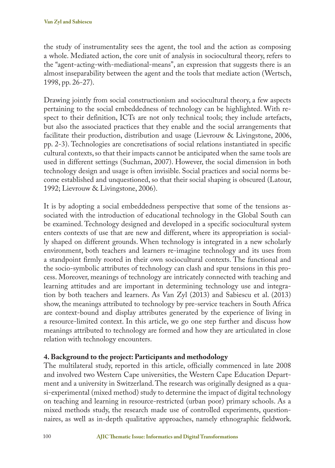the study of instrumentality sees the agent, the tool and the action as composing a whole. Mediated action, the core unit of analysis in sociocultural theory, refers to the "agent-acting-with-mediational-means", an expression that suggests there is an almost inseparability between the agent and the tools that mediate action (Wertsch, 1998, pp. 26-27).

Drawing jointly from social constructionism and sociocultural theory, a few aspects pertaining to the social embeddedness of technology can be highlighted. With respect to their definition, ICTs are not only technical tools; they include artefacts, but also the associated practices that they enable and the social arrangements that facilitate their production, distribution and usage (Lievrouw & Livingstone, 2006, pp. 2-3). Technologies are concretisations of social relations instantiated in specific cultural contexts, so that their impacts cannot be anticipated when the same tools are used in different settings (Suchman, 2007). However, the social dimension in both technology design and usage is often invisible. Social practices and social norms become established and unquestioned, so that their social shaping is obscured (Latour, 1992; Lievrouw & Livingstone, 2006).

It is by adopting a social embeddedness perspective that some of the tensions associated with the introduction of educational technology in the Global South can be examined. Technology designed and developed in a specific sociocultural system enters contexts of use that are new and different, where its appropriation is socially shaped on different grounds. When technology is integrated in a new scholarly environment, both teachers and learners re-imagine technology and its uses from a standpoint firmly rooted in their own sociocultural contexts. The functional and the socio-symbolic attributes of technology can clash and spur tensions in this process. Moreover, meanings of technology are intricately connected with teaching and learning attitudes and are important in determining technology use and integration by both teachers and learners. As Van Zyl (2013) and Sabiescu et al. (2013) show, the meanings attributed to technology by pre-service teachers in South Africa are context-bound and display attributes generated by the experience of living in a resource-limited context. In this article, we go one step further and discuss how meanings attributed to technology are formed and how they are articulated in close relation with technology encounters.

# **4. Background to the project: Participants and methodology**

The multilateral study, reported in this article, officially commenced in late 2008 and involved two Western Cape universities, the Western Cape Education Department and a university in Switzerland. The research was originally designed as a quasi-experimental (mixed method) study to determine the impact of digital technology on teaching and learning in resource-restricted (urban poor) primary schools. As a mixed methods study, the research made use of controlled experiments, questionnaires, as well as in-depth qualitative approaches, namely ethnographic fieldwork.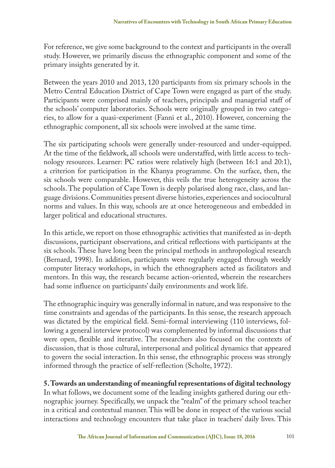For reference, we give some background to the context and participants in the overall study. However, we primarily discuss the ethnographic component and some of the primary insights generated by it.

Between the years 2010 and 2013, 120 participants from six primary schools in the Metro Central Education District of Cape Town were engaged as part of the study. Participants were comprised mainly of teachers, principals and managerial staff of the schools' computer laboratories. Schools were originally grouped in two categories, to allow for a quasi-experiment (Fanni et al., 2010). However, concerning the ethnographic component, all six schools were involved at the same time.

The six participating schools were generally under-resourced and under-equipped. At the time of the fieldwork, all schools were understaffed, with little access to technology resources. Learner: PC ratios were relatively high (between 16:1 and 20:1), a criterion for participation in the Khanya programme. On the surface, then, the six schools were comparable. However, this veils the true heterogeneity across the schools. The population of Cape Town is deeply polarised along race, class, and language divisions. Communities present diverse histories, experiences and sociocultural norms and values. In this way, schools are at once heterogeneous and embedded in larger political and educational structures.

In this article, we report on those ethnographic activities that manifested as in-depth discussions, participant observations, and critical reflections with participants at the six schools. These have long been the principal methods in anthropological research (Bernard, 1998). In addition, participants were regularly engaged through weekly computer literacy workshops, in which the ethnographers acted as facilitators and mentors. In this way, the research became action-oriented, wherein the researchers had some influence on participants' daily environments and work life.

The ethnographic inquiry was generally informal in nature, and was responsive to the time constraints and agendas of the participants. In this sense, the research approach was dictated by the empirical field. Semi-formal interviewing (110 interviews, following a general interview protocol) was complemented by informal discussions that were open, flexible and iterative. The researchers also focused on the contexts of discussion, that is those cultural, interpersonal and political dynamics that appeared to govern the social interaction. In this sense, the ethnographic process was strongly informed through the practice of self-reflection (Scholte, 1972).

## **5. Towards an understanding of meaningful representations of digital technology**

In what follows, we document some of the leading insights gathered during our ethnographic journey. Specifically, we unpack the "realm" of the primary school teacher in a critical and contextual manner. This will be done in respect of the various social interactions and technology encounters that take place in teachers' daily lives. This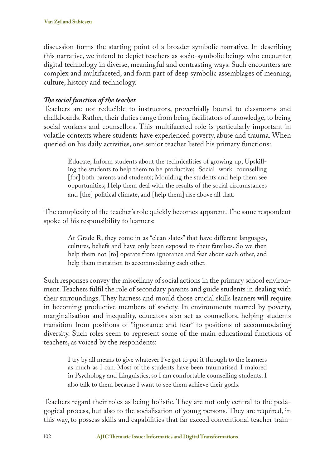discussion forms the starting point of a broader symbolic narrative. In describing this narrative, we intend to depict teachers as socio-symbolic beings who encounter digital technology in diverse, meaningful and contrasting ways. Such encounters are complex and multifaceted, and form part of deep symbolic assemblages of meaning, culture, history and technology.

### *The social function of the teacher*

Teachers are not reducible to instructors, proverbially bound to classrooms and chalkboards. Rather, their duties range from being facilitators of knowledge, to being social workers and counsellors. This multifaceted role is particularly important in volatile contexts where students have experienced poverty, abuse and trauma. When queried on his daily activities, one senior teacher listed his primary functions:

Educate; Inform students about the technicalities of growing up; Upskilling the students to help them to be productive; Social work counselling [for] both parents and students; Moulding the students and help them see opportunities; Help them deal with the results of the social circumstances and [the] political climate, and [help them] rise above all that.

The complexity of the teacher's role quickly becomes apparent. The same respondent spoke of his responsibility to learners:

At Grade R, they come in as "clean slates" that have different languages, cultures, beliefs and have only been exposed to their families. So we then help them not [to] operate from ignorance and fear about each other, and help them transition to accommodating each other.

Such responses convey the miscellany of social actions in the primary school environment. Teachers fulfil the role of secondary parents and guide students in dealing with their surroundings. They harness and mould those crucial skills learners will require in becoming productive members of society. In environments marred by poverty, marginalisation and inequality, educators also act as counsellors, helping students transition from positions of "ignorance and fear" to positions of accommodating diversity. Such roles seem to represent some of the main educational functions of teachers, as voiced by the respondents:

I try by all means to give whatever I've got to put it through to the learners as much as I can. Most of the students have been traumatised. I majored in Psychology and Linguistics, so I am comfortable counselling students. I also talk to them because I want to see them achieve their goals.

Teachers regard their roles as being holistic. They are not only central to the pedagogical process, but also to the socialisation of young persons. They are required, in this way, to possess skills and capabilities that far exceed conventional teacher train-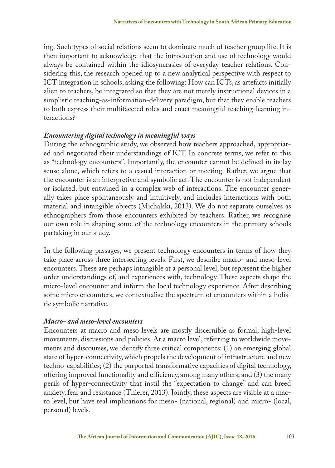ing. Such types of social relations seem to dominate much of teacher group life. It is then important to acknowledge that the introduction and use of technology would always be contained within the idiosyncrasies of everyday teacher relations. Considering this, the research opened up to a new analytical perspective with respect to ICT integration in schools, asking the following: How can ICTs, as artefacts initially alien to teachers, be integrated so that they are not merely instructional devices in a simplistic teaching-as-information-delivery paradigm, but that they enable teachers to both express their multifaceted roles and enact meaningful teaching-learning interactions?

#### *Encountering digital technology in meaningful ways*

During the ethnographic study, we observed how teachers approached, appropriated and negotiated their understandings of ICT. In concrete terms, we refer to this as "technology encounters". Importantly, the encounter cannot be defined in its lay sense alone, which refers to a casual interaction or meeting. Rather, we argue that the encounter is an interpretive and symbolic act. The encounter is not independent or isolated, but entwined in a complex web of interactions. The encounter generally takes place spontaneously and intuitively, and includes interactions with both material and intangible objects (Michalski, 2013). We do not separate ourselves as ethnographers from those encounters exhibited by teachers. Rather, we recognise our own role in shaping some of the technology encounters in the primary schools partaking in our study.

In the following passages, we present technology encounters in terms of how they take place across three intersecting levels. First, we describe macro- and meso-level encounters. These are perhaps intangible at a personal level, but represent the higher order understandings of, and experiences with, technology. These aspects shape the micro-level encounter and inform the local technology experience. After describing some micro encounters, we contextualise the spectrum of encounters within a holistic symbolic narrative.

#### *Macro- and meso-level encounters*

Encounters at macro and meso levels are mostly discernible as formal, high-level movements, discussions and policies. At a macro level, referring to worldwide movements and discourses, we identify three critical components: (1) an emerging global state of hyper-connectivity, which propels the development of infrastructure and new techno-capabilities; (2) the purported transformative capacities of digital technology, offering improved functionality and efficiency, among many others; and (3) the many perils of hyper-connectivity that instil the "expectation to change" and can breed anxiety, fear and resistance (Thierer, 2013). Jointly, these aspects are visible at a macro level, but have real implications for meso- (national, regional) and micro- (local, personal) levels.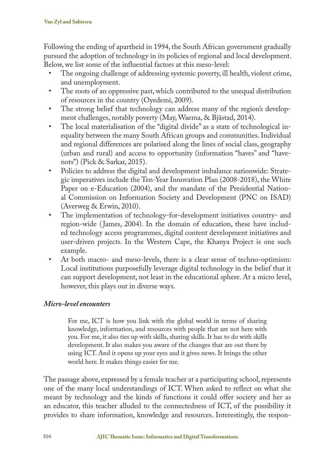Following the ending of apartheid in 1994, the South African government gradually pursued the adoption of technology in its policies of regional and local development. Below, we list some of the influential factors at this meso-level:

- The ongoing challenge of addressing systemic poverty, ill health, violent crime, and unemployment.
- The roots of an oppressive past, which contributed to the unequal distribution of resources in the country (Oyedemi, 2009).
- The strong belief that technology can address many of the region's development challenges, notably poverty (May, Waema, & Bjåstad, 2014).
- The local materialisation of the "digital divide" as a state of technological inequality between the many South African groups and communities. Individual and regional differences are polarised along the lines of social class, geography (urban and rural) and access to opportunity (information "haves" and "havenots") (Pick & Sarkar, 2015).
- Policies to address the digital and development imbalance nationwide: Strategic imperatives include the Ten-Year Innovation Plan (2008-2018), the White Paper on e-Education (2004), and the mandate of the Presidential National Commission on Information Society and Development (PNC on ISAD) (Averweg & Erwin, 2010).
- The implementation of technology-for-development initiatives country- and region-wide ( James, 2004). In the domain of education, these have included technology access programmes, digital content development initiatives and user-driven projects. In the Western Cape, the Khanya Project is one such example.
- At both macro- and meso-levels, there is a clear sense of techno-optimism: Local institutions purposefully leverage digital technology in the belief that it can support development, not least in the educational sphere. At a micro level, however, this plays out in diverse ways.

## *Micro-level encounters*

For me, ICT is how you link with the global world in terms of sharing knowledge, information, and resources with people that are not here with you. For me, it also ties up with skills, sharing skills. It has to do with skills development. It also makes you aware of the changes that are out there by using ICT. And it opens up your eyes and it gives news. It brings the other world here. It makes things easier for me.

The passage above, expressed by a female teacher at a participating school, represents one of the many local understandings of ICT. When asked to reflect on what she meant by technology and the kinds of functions it could offer society and her as an educator, this teacher alluded to the connectedness of ICT, of the possibility it provides to share information, knowledge and resources. Interestingly, the respon-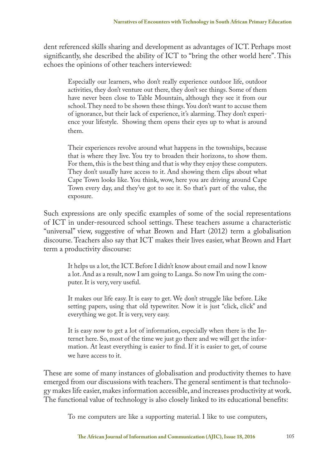dent referenced skills sharing and development as advantages of ICT. Perhaps most significantly, she described the ability of ICT to "bring the other world here". This echoes the opinions of other teachers interviewed:

Especially our learners, who don't really experience outdoor life, outdoor activities, they don't venture out there, they don't see things. Some of them have never been close to Table Mountain, although they see it from our school. They need to be shown these things. You don't want to accuse them of ignorance, but their lack of experience, it's alarming. They don't experience your lifestyle. Showing them opens their eyes up to what is around them.

Their experiences revolve around what happens in the townships, because that is where they live. You try to broaden their horizons, to show them. For them, this is the best thing and that is why they enjoy these computers. They don't usually have access to it. And showing them clips about what Cape Town looks like. You think, wow, here you are driving around Cape Town every day, and they've got to see it. So that's part of the value, the exposure.

Such expressions are only specific examples of some of the social representations of ICT in under-resourced school settings. These teachers assume a characteristic "universal" view, suggestive of what Brown and Hart (2012) term a globalisation discourse. Teachers also say that ICT makes their lives easier, what Brown and Hart term a productivity discourse:

It helps us a lot, the ICT. Before I didn't know about email and now I know a lot. And as a result, now I am going to Langa. So now I'm using the computer. It is very, very useful.

It makes our life easy. It is easy to get. We don't struggle like before. Like setting papers, using that old typewriter. Now it is just "click, click" and everything we got. It is very, very easy.

It is easy now to get a lot of information, especially when there is the Internet here. So, most of the time we just go there and we will get the information. At least everything is easier to find. If it is easier to get, of course we have access to it.

These are some of many instances of globalisation and productivity themes to have emerged from our discussions with teachers. The general sentiment is that technology makes life easier, makes information accessible, and increases productivity at work. The functional value of technology is also closely linked to its educational benefits:

To me computers are like a supporting material. I like to use computers,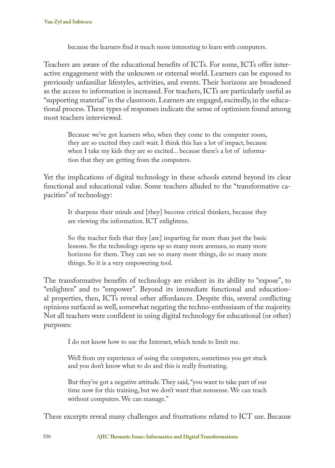because the learners find it much more interesting to learn with computers.

Teachers are aware of the educational benefits of ICTs. For some, ICTs offer interactive engagement with the unknown or external world. Learners can be exposed to previously unfamiliar lifestyles, activities, and events. Their horizons are broadened as the access to information is increased. For teachers, ICTs are particularly useful as "supporting material" in the classroom. Learners are engaged, excitedly, in the educational process. These types of responses indicate the sense of optimism found among most teachers interviewed.

Because we've got learners who, when they come to the computer room, they are so excited they can't wait. I think this has a lot of impact, because when I take my kids they are so excited... because there's a lot of information that they are getting from the computers.

Yet the implications of digital technology in these schools extend beyond its clear functional and educational value. Some teachers alluded to the "transformative capacities" of technology:

It sharpens their minds and [they] become critical thinkers, because they are viewing the information. ICT enlightens.

So the teacher feels that they [are] imparting far more than just the basic lessons. So the technology opens up so many more avenues, so many more horizons for them. They can see so many more things, do so many more things. So it is a very empowering tool.

The transformative benefits of technology are evident in its ability to "expose", to "enlighten" and to "empower". Beyond its immediate functional and educational properties, then, ICTs reveal other affordances. Despite this, several conflicting opinions surfaced as well, somewhat negating the techno-enthusiasm of the majority. Not all teachers were confident in using digital technology for educational (or other) purposes:

I do not know how to use the Internet, which tends to limit me.

Well from my experience of using the computers, sometimes you get stuck and you don't know what to do and this is really frustrating.

But they've got a negative attitude. They said, "you want to take part of our time now for this training, but we don't want that nonsense. We can teach without computers. We can manage."

These excerpts reveal many challenges and frustrations related to ICT use. Because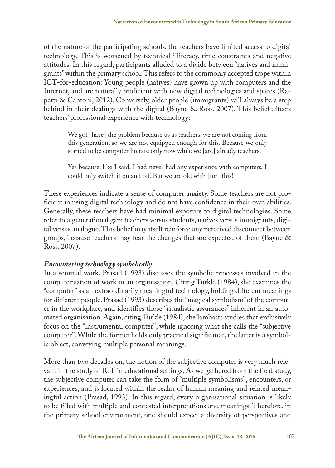of the nature of the participating schools, the teachers have limited access to digital technology. This is worsened by technical illiteracy, time constraints and negative attitudes. In this regard, participants alluded to a divide between "natives and immigrants" within the primary school. This refers to the commonly accepted trope within ICT-for-education: Young people (natives) have grown up with computers and the Internet, and are naturally proficient with new digital technologies and spaces (Rapetti & Cantoni, 2012). Conversely, older people (immigrants) will always be a step behind in their dealings with the digital (Bayne & Ross, 2007). This belief affects teachers' professional experience with technology:

We got [have] the problem because us as teachers, we are not coming from this generation, so we are not equipped enough for this. Because we only started to be computer literate only now while we [are] already teachers.

Yes because, like I said, I had never had any experience with computers, I could only switch it on and off. But we are old with [for] this!

These experiences indicate a sense of computer anxiety. Some teachers are not proficient in using digital technology and do not have confidence in their own abilities. Generally, these teachers have had minimal exposure to digital technologies. Some refer to a generational gap: teachers versus students, natives versus immigrants, digital versus analogue. This belief may itself reinforce any perceived disconnect between groups, because teachers may fear the changes that are expected of them (Bayne & Ross, 2007).

### *Encountering technology symbolically*

In a seminal work, Prasad (1993) discusses the symbolic processes involved in the computerisation of work in an organisation. Citing Turkle (1984), she examines the "computer" as an extraordinarily meaningful technology, holding different meanings for different people. Prasad (1993) describes the "magical symbolism" of the computer in the workplace, and identifies those "ritualistic assurances" inherent in an automated organisation. Again, citing Turkle (1984), she lambasts studies that exclusively focus on the "instrumental computer", while ignoring what she calls the "subjective computer". While the former holds only practical significance, the latter is a symbolic object, conveying multiple personal meanings.

More than two decades on, the notion of the subjective computer is very much relevant in the study of ICT in educational settings. As we gathered from the field study, the subjective computer can take the form of "multiple symbolisms", encounters, or experiences, and is located within the realm of human meaning and related meaningful action (Prasad, 1993). In this regard, every organisational situation is likely to be filled with multiple and contested interpretations and meanings. Therefore, in the primary school environment, one should expect a diversity of perspectives and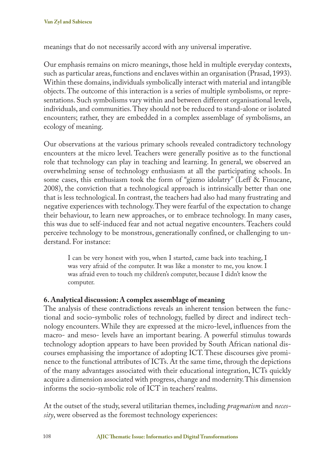meanings that do not necessarily accord with any universal imperative.

Our emphasis remains on micro meanings, those held in multiple everyday contexts, such as particular areas, functions and enclaves within an organisation (Prasad, 1993). Within these domains, individuals symbolically interact with material and intangible objects. The outcome of this interaction is a series of multiple symbolisms, or representations. Such symbolisms vary within and between different organisational levels, individuals, and communities. They should not be reduced to stand-alone or isolated encounters; rather, they are embedded in a complex assemblage of symbolisms, an ecology of meaning.

Our observations at the various primary schools revealed contradictory technology encounters at the micro level. Teachers were generally positive as to the functional role that technology can play in teaching and learning. In general, we observed an overwhelming sense of technology enthusiasm at all the participating schools. In some cases, this enthusiasm took the form of "gizmo idolatry" (Leff & Finucane, 2008), the conviction that a technological approach is intrinsically better than one that is less technological. In contrast, the teachers had also had many frustrating and negative experiences with technology. They were fearful of the expectation to change their behaviour, to learn new approaches, or to embrace technology. In many cases, this was due to self-induced fear and not actual negative encounters. Teachers could perceive technology to be monstrous, generationally confined, or challenging to understand. For instance:

I can be very honest with you, when I started, came back into teaching, I was very afraid of the computer. It was like a monster to me, you know. I was afraid even to touch my children's computer, because I didn't know the computer.

### **6. Analytical discussion: A complex assemblage of meaning**

The analysis of these contradictions reveals an inherent tension between the functional and socio-symbolic roles of technology, fuelled by direct and indirect technology encounters. While they are expressed at the micro-level, influences from the macro- and meso- levels have an important bearing. A powerful stimulus towards technology adoption appears to have been provided by South African national discourses emphasising the importance of adopting ICT. These discourses give prominence to the functional attributes of ICTs. At the same time, through the depictions of the many advantages associated with their educational integration, ICTs quickly acquire a dimension associated with progress, change and modernity. This dimension informs the socio-symbolic role of ICT in teachers' realms.

At the outset of the study, several utilitarian themes, including *pragmatism* and *necessity*, were observed as the foremost technology experiences: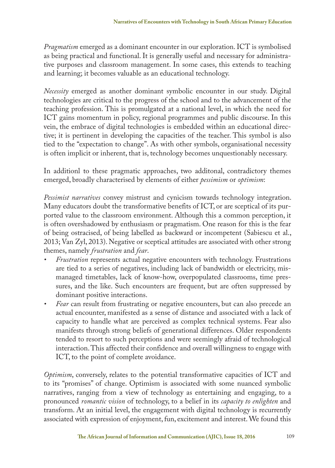*Pragmatism* emerged as a dominant encounter in our exploration. ICT is symbolised as being practical and functional. It is generally useful and necessary for administrative purposes and classroom management. In some cases, this extends to teaching and learning; it becomes valuable as an educational technology.

*Necessity* emerged as another dominant symbolic encounter in our study. Digital technologies are critical to the progress of the school and to the advancement of the teaching profession. This is promulgated at a national level, in which the need for ICT gains momentum in policy, regional programmes and public discourse. In this vein, the embrace of digital technologies is embedded within an educational directive; it is pertinent in developing the capacities of the teacher. This symbol is also tied to the "expectation to change". As with other symbols, organisational necessity is often implicit or inherent, that is, technology becomes unquestionably necessary.

In additionl to these pragmatic approaches, two additonal, contradictory themes emerged, broadly characterised by elements of either *pessimism* or *optimism*:

*Pessimist narratives* convey mistrust and cynicism towards technology integration. Many educators doubt the transformative benefits of ICT, or are sceptical of its purported value to the classroom environment. Although this a common perception, it is often overshadowed by enthusiasm or pragmatism. One reason for this is the fear of being ostracised, of being labelled as backward or incompetent (Sabiescu et al., 2013; Van Zyl, 2013). Negative or sceptical attitudes are associated with other strong themes, namely *frustration* and *fear*.

- *• Frustration* represents actual negative encounters with technology. Frustrations are tied to a series of negatives, including lack of bandwidth or electricity, mismanaged timetables, lack of know-how, overpopulated classrooms, time pressures, and the like. Such encounters are frequent, but are often suppressed by dominant positive interactions.
- *• Fear* can result from frustrating or negative encounters, but can also precede an actual encounter, manifested as a sense of distance and associated with a lack of capacity to handle what are perceived as complex technical systems. Fear also manifests through strong beliefs of generational differences. Older respondents tended to resort to such perceptions and were seemingly afraid of technological interaction. This affected their confidence and overall willingness to engage with ICT, to the point of complete avoidance.

*Optimism*, conversely, relates to the potential transformative capacities of ICT and to its "promises" of change. Optimism is associated with some nuanced symbolic narratives, ranging from a view of technology as entertaining and engaging, to a pronounced *romantic vision* of technology, to a belief in its *capacity to enlighten* and transform. At an initial level, the engagement with digital technology is recurrently associated with expression of enjoyment, fun, excitement and interest. We found this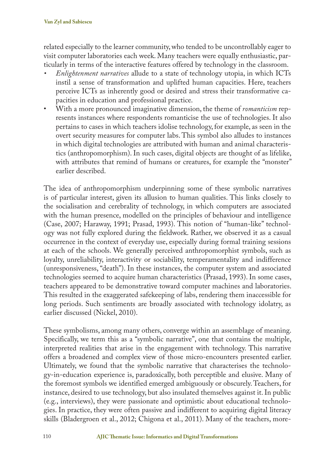related especially to the learner community, who tended to be uncontrollably eager to visit computer laboratories each week. Many teachers were equally enthusiastic, particularly in terms of the interactive features offered by technology in the classroom.

- *• Enlightenment narratives* allude to a state of technology utopia, in which ICTs instil a sense of transformation and uplifted human capacities. Here, teachers perceive ICTs as inherently good or desired and stress their transformative capacities in education and professional practice.
- With a more pronounced imaginative dimension, the theme of *romanticism* represents instances where respondents romanticise the use of technologies. It also pertains to cases in which teachers idolise technology, for example, as seen in the overt security measures for computer labs. This symbol also alludes to instances in which digital technologies are attributed with human and animal characteristics (anthropomorphism). In such cases, digital objects are thought of as lifelike, with attributes that remind of humans or creatures, for example the "monster" earlier described.

The idea of anthropomorphism underpinning some of these symbolic narratives is of particular interest, given its allusion to human qualities. This links closely to the socialisation and cerebrality of technology, in which computers are associated with the human presence, modelled on the principles of behaviour and intelligence (Case, 2007; Haraway, 1991; Prasad, 1993). This notion of "human-like" technology was not fully explored during the fieldwork. Rather, we observed it as a casual occurrence in the context of everyday use, especially during formal training sessions at each of the schools. We generally perceived anthropomorphist symbols, such as loyalty, unreliability, interactivity or sociability, temperamentality and indifference (unresponsiveness, "death"). In these instances, the computer system and associated technologies seemed to acquire human characteristics (Prasad, 1993). In some cases, teachers appeared to be demonstrative toward computer machines and laboratories. This resulted in the exaggerated safekeeping of labs, rendering them inaccessible for long periods. Such sentiments are broadly associated with technology idolatry, as earlier discussed (Nickel, 2010).

These symbolisms, among many others, converge within an assemblage of meaning. Specifically, we term this as a "symbolic narrative", one that contains the multiple, interpreted realities that arise in the engagement with technology. This narrative offers a broadened and complex view of those micro-encounters presented earlier. Ultimately, we found that the symbolic narrative that characterises the technology-in-education experience is, paradoxically, both perceptible and elusive. Many of the foremost symbols we identified emerged ambiguously or obscurely. Teachers, for instance, desired to use technology, but also insulated themselves against it. In public (e.g., interviews), they were passionate and optimistic about educational technologies. In practice, they were often passive and indifferent to acquiring digital literacy skills (Bladergroen et al., 2012; Chigona et al., 2011). Many of the teachers, more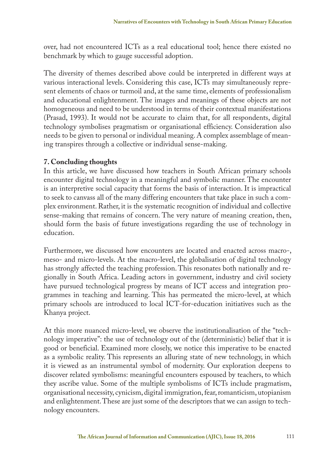over, had not encountered ICTs as a real educational tool; hence there existed no benchmark by which to gauge successful adoption.

The diversity of themes described above could be interpreted in different ways at various interactional levels. Considering this case, ICTs may simultaneously represent elements of chaos or turmoil and, at the same time, elements of professionalism and educational enlightenment. The images and meanings of these objects are not homogeneous and need to be understood in terms of their contextual manifestations (Prasad, 1993). It would not be accurate to claim that, for all respondents, digital technology symbolises pragmatism or organisational efficiency. Consideration also needs to be given to personal or individual meaning. A complex assemblage of meaning transpires through a collective or individual sense-making.

#### **7. Concluding thoughts**

In this article, we have discussed how teachers in South African primary schools encounter digital technology in a meaningful and symbolic manner. The encounter is an interpretive social capacity that forms the basis of interaction. It is impractical to seek to canvass all of the many differing encounters that take place in such a complex environment. Rather, it is the systematic recognition of individual and collective sense-making that remains of concern. The very nature of meaning creation, then, should form the basis of future investigations regarding the use of technology in education.

Furthermore, we discussed how encounters are located and enacted across macro-, meso- and micro-levels. At the macro-level, the globalisation of digital technology has strongly affected the teaching profession. This resonates both nationally and regionally in South Africa. Leading actors in government, industry and civil society have pursued technological progress by means of ICT access and integration programmes in teaching and learning. This has permeated the micro-level, at which primary schools are introduced to local ICT-for-education initiatives such as the Khanya project.

At this more nuanced micro-level, we observe the institutionalisation of the "technology imperative": the use of technology out of the (deterministic) belief that it is good or beneficial. Examined more closely, we notice this imperative to be enacted as a symbolic reality. This represents an alluring state of new technology, in which it is viewed as an instrumental symbol of modernity. Our exploration deepens to discover related symbolisms: meaningful encounters espoused by teachers, to which they ascribe value. Some of the multiple symbolisms of ICTs include pragmatism, organisational necessity, cynicism, digital immigration, fear, romanticism, utopianism and enlightenment. These are just some of the descriptors that we can assign to technology encounters.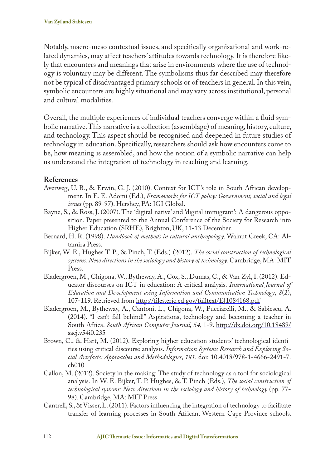Notably, macro-meso contextual issues, and specifically organisational and work-related dynamics, may affect teachers' attitudes towards technology. It is therefore likely that encounters and meanings that arise in environments where the use of technology is voluntary may be different. The symbolisms thus far described may therefore not be typical of disadvantaged primary schools or of teachers in general. In this vein, symbolic encounters are highly situational and may vary across institutional, personal and cultural modalities.

Overall, the multiple experiences of individual teachers converge within a fluid symbolic narrative. This narrative is a collection (assemblage) of meaning, history, culture, and technology. This aspect should be recognised and deepened in future studies of technology in education. Specifically, researchers should ask how encounters come to be, how meaning is assembled, and how the notion of a symbolic narrative can help us understand the integration of technology in teaching and learning.

### **References**

- Averweg, U. R., & Erwin, G. J. (2010). Context for ICT's role in South African development. In E. E. Adomi (Ed.), *Frameworks for ICT policy: Government, social and legal issues* (pp. 89-97). Hershey, PA: IGI Global.
- Bayne, S., & Ross, J. (2007). The 'digital native' and 'digital immigrant': A dangerous opposition. Paper presented to the Annual Conference of the Society for Research into Higher Education (SRHE), Brighton, UK, 11-13 December.
- Bernard, H. R. (1998). *Handbook of methods in cultural anthropology*. Walnut Creek, CA: Altamira Press.
- Bijker, W. E., Hughes T. P., & Pinch, T. (Eds.) (2012). *The social construction of technological systems: New directions in the sociology and history of technology*. Cambridge, MA: MIT Press.
- Bladergroen, M., Chigona, W., Bytheway, A., Cox, S., Dumas, C., & Van Zyl, I. (2012). Educator discourses on ICT in education: A critical analysis. *International Journal of Education and Development using Information and Communication Technology*, *8*(2), 107-119. Retrieved from http://files.eric.ed.gov/fulltext/EJ1084168.pdf
- Bladergroen, M., Bytheway, A., Cantoni, L., Chigona, W., Pucciarelli, M., & Sabiescu, A. (2014). "I can't fall behind!" Aspirations, technology and becoming a teacher in South Africa. *South African Computer Journal, 54*, 1-9. http://dx.doi.org/10.18489/ sacj.v54i0.235
- Brown, C., & Hart, M. (2012). Exploring higher education students' technological identities using critical discourse analysis. *Information Systems Research and Exploring Social Artefacts: Approaches and Methodologies*, *181*. doi: 10.4018/978-1-4666-2491-7. ch010
- Callon, M. (2012). Society in the making: The study of technology as a tool for sociological analysis. In W. E. Bijker, T. P. Hughes, & T. Pinch (Eds.), *The social construction of technological systems: New directions in the sociology and history of technology* (pp. 77- 98). Cambridge, MA: MIT Press.
- Cantrell, S., & Visser, L. (2011). Factors influencing the integration of technology to facilitate transfer of learning processes in South African, Western Cape Province schools.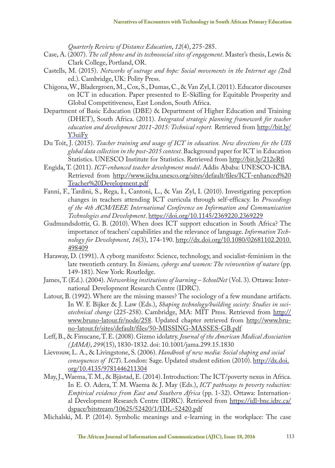*Quarterly Review of Distance Education*, *12*(4), 275-285.

- Case, A. (2007). *The cell phone and its technosocial sites of engagement*. Master's thesis, Lewis & Clark College, Portland, OR.
- Castells, M. (2015). *Networks of outrage and hope: Social movements in the Internet age (*2nd ed.). Cambridge, UK: Polity Press.
- Chigona, W., Bladergroen, M., Cox, S., Dumas, C., & Van Zyl, I. (2011). Educator discourses on ICT in education. Paper presented to E-Skilling for Equitable Prosperity and Global Competitiveness, East London, South Africa.
- Department of Basic Education (DBE) & Department of Higher Education and Training (DHET), South Africa. (2011). *Integrated strategic planning framework for teacher education and development 2011-2015: Technical report.* Retrieved from http://bit.ly/ Y3uiFy
- Du Toit, J. (2015). *Teacher training and usage of ICT in education. New directions for the UIS global data collection in the post-2015 context.* Background paper for ICT in Education Statistics. UNESCO Institute for Statistics. Retrieved from http://bit.ly/212eRfi
- Engida, T. (2011). *ICT-enhanced teacher development model*. Addis Ababa: UNESCO-ICBA. Retrieved from http://www.iicba.unesco.org/sites/default/files/ICT-enhanced%20 Teacher%20Development.pdf
- Fanni, F., Tardini, S., Rega, I., Cantoni, L., & Van Zyl, I. (2010). Investigating perception changes in teachers attending ICT curricula through self-efficacy. In *Proceedings of the 4th ACM/IEEE International Conference on Information and Communication Technologies and Development*. https://doi.org/10.1145/2369220.2369229
- Gudmundsdottir, G. B. (2010). When does ICT support education in South Africa? The importance of teachers' capabilities and the relevance of language. *Information Technology for Development*, *16*(3), 174-190. http://dx.doi.org/10.1080/02681102.2010. 498409
- Haraway, D. (1991). A cyborg manifesto: Science, technology, and socialist-feminism in the late twentieth century. In *Simians, cyborgs and women: The reinvention of nature* (pp. 149-181). New York: Routledge.
- James, T. (Ed.). (2004). *Networking institutions of learning SchoolNet* (Vol. 3). Ottawa: International Development Research Centre (IDRC).
- Latour, B. (1992). Where are the missing masses? The sociology of a few mundane artifacts. In W. E Bijker & J. Law (Eds.), *Shaping technology/building society: Studies in sociotechnical change* (225-258). Cambridge, MA: MIT Press. Retrieved from http:// www.bruno-latour.fr/node/258. Updated chapter retrieved from http://www.bruno-latour.fr/sites/default/files/50-MISSING-MASSES-GB.pdf
- Leff, B., & Finucane, T. E. (2008). Gizmo idolatry. *Journal of the American Medical Association ( JAMA)*, *299*(15), 1830-1832. doi: 10.1001/jama.299.15.1830
- Lievrouw, L. A., & Livingstone, S. (2006). *Handbook of new media: Social shaping and social consequences of ICTs*. London: Sage. Updated student edition (2010). http://dx.doi. org/10.4135/9781446211304
- May, J., Waema, T. M., & Bjåstad, E. (2014). Introduction: The ICT/poverty nexus in Africa. In E. O. Adera, T. M. Waema & J. May (Eds.), *ICT pathways to poverty reduction: Empirical evidence from East and Southern Africa* (pp. 1-32). Ottawa: International Development Research Centre (IDRC). Retrieved from https://idl-bnc.idrc.ca/ dspace/bitstream/10625/52420/1/IDL-52420.pdf
- Michalski, M. P. (2014). Symbolic meanings and e-learning in the workplace: The case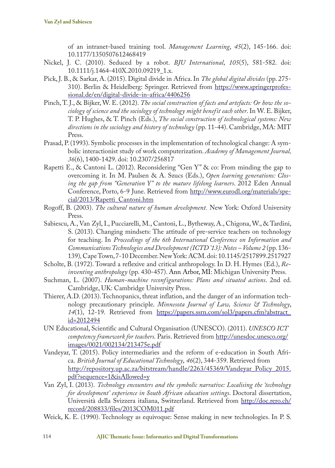of an intranet-based training tool. *Management Learning*, *45*(2), 145-166. doi: 10.1177/1350507612468419

- Nickel, J. C. (2010). Seduced by a robot. *BJU International*, *105*(5), 581-582. doi: 10.1111/j.1464-410X.2010.09219\_1.x.
- Pick, J. B., & Sarkar, A. (2015). Digital divide in Africa. In *The global digital divides* (pp. 275- 310). Berlin & Heidelberg: Springer. Retrieved from https://www.springerprofessional.de/en/digital-divide-in-africa/4406256
- Pinch, T. J., & Bijker, W. E. (2012). *The social construction of facts and artefacts: Or how the sociology of science and the sociology of technology might benefit each other*. In W. E. Bijker, T. P. Hughes, & T. Pinch (Eds.), *The social construction of technological systems: New directions in the sociology and history of technology* (pp. 11-44). Cambridge, MA: MIT Press.
- Prasad, P. (1993). Symbolic processes in the implementation of technological change: A symbolic interactionist study of work computerization. *Academy of Management Journal, 36*(6), 1400-1429. doi: 10.2307/256817
- Rapetti E., & Cantoni L. (2012). Reconsidering "Gen Y" & co: From minding the gap to overcoming it. In M. Paulsen & A. Szucs (Eds.), *Open learning generations: Closing the gap from "Generation Y" to the mature lifelong learners*. 2012 Eden Annual Conference, Porto, 6-9 June. Retrieved from http://www.eurodl.org/materials/special/2013/Rapetti\_Cantoni.htm
- Rogoff, B. (2003). *The cultural nature of human development.* New York: Oxford University Press.
- Sabiescu, A., Van Zyl, I., Pucciarelli, M., Cantoni, L., Bytheway, A., Chigona, W., & Tardini, S. (2013). Changing mindsets: The attitude of pre-service teachers on technology for teaching. In *Proceedings of the 6th International Conference on Information and Communications Technologies and Development (ICTD '13): Notes – Volume 2* (pp. 136- 139)*,* Cape Town, 7-10 December. New York: ACM. doi: 10.1145/2517899.2517927
- Scholte, B. (1972). Toward a reflexive and critical anthropology. In D. H. Hymes (Ed.), *Reinventing anthropology* (pp. 430-457). Ann Arbor, MI: Michigan University Press.
- Suchman, L. (2007). *Human-machine reconfigurations: Plans and situated actions*. 2nd ed. Cambridge, UK: Cambridge University Press.
- Thierer, A.D. (2013). Technopanics, threat inflation, and the danger of an information technology precautionary principle. *Minnesota Journal of Law, Science & Technology*, *14*(1), 12-19. Retrieved from https://papers.ssrn.com/sol3/papers.cfm?abstract\_ id=2012494
- UN Educational, Scientific and Cultural Organisation (UNESCO). (2011). *UNESCO ICT competency framework for teachers.* Paris. Retrieved from http://unesdoc.unesco.org/ images/0021/002134/213475e.pdf
- Vandeyar, T. (2015). Policy intermediaries and the reform of e‐education in South Africa. *British Journal of Educational Technology*, *46*(2), 344-359. Retrieved from http://repository.up.ac.za/bitstream/handle/2263/45369/Vandeyar\_Policy\_2015. pdf?sequence=1&isAllowed=y
- Van Zyl, I. (2013). *Technology encounters and the symbolic narrative: Localising the 'technology for development' experience in South African education settings*. Doctoral dissertation, Università della Svizzera italiana, Switzerland. Retrieved from http://doc.rero.ch/ record/208833/files/2013COM011.pdf
- Weick, K. E. (1990). Technology as equivoque: Sense making in new technologies. In P. S.